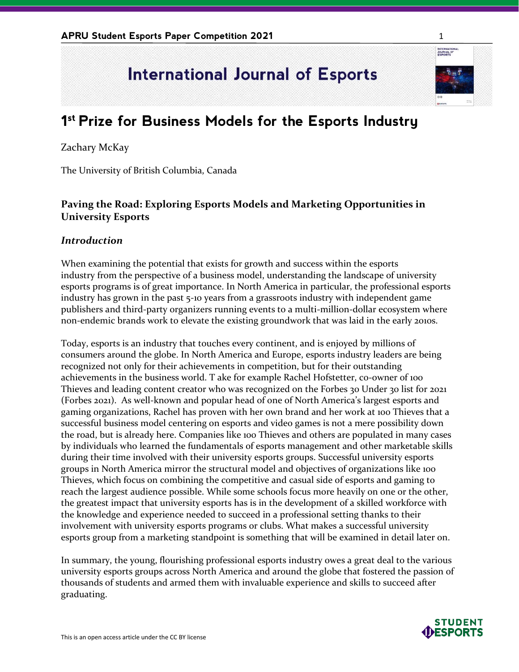# **International Journal of Esports**

# **1 st Prize for Business Models for the Esports Industry**

#### Zachary McKay

The University of British Columbia, Canada

## **Paving the Road: Exploring Esports Models and Marketing Opportunities in University Esports**

#### *Introduction*

When examining the potential that exists for growth and success within the esports industry from the perspective of a business model, understanding the landscape of university esports programs is of great importance. In North America in particular, the professional esports industry has grown in the past 5-10 years from a grassroots industry with independent game publishers and third-party organizers running events to a multi-million-dollar ecosystem where non-endemic brands work to elevate the existing groundwork that was laid in the early 2010s.

Today, esports is an industry that touches every continent, and is enjoyed by millions of consumers around the globe. In North America and Europe, esports industry leaders are being recognized not only for their achievements in competition, but for their outstanding achievements in the business world. T ake for example Rachel Hofstetter, co-owner of 100 Thieves and leading content creator who was recognized on the Forbes 30 Under 30 list for 2021 (Forbes 2021). As well-known and popular head of one of North America's largest esports and gaming organizations, Rachel has proven with her own brand and her work at 100 Thieves that a successful business model centering on esports and video games is not a mere possibility down the road, but is already here. Companies like 100 Thieves and others are populated in many cases by individuals who learned the fundamentals of esports management and other marketable skills during their time involved with their university esports groups. Successful university esports groups in North America mirror the structural model and objectives of organizations like 100 Thieves, which focus on combining the competitive and casual side of esports and gaming to reach the largest audience possible. While some schools focus more heavily on one or the other, the greatest impact that university esports has is in the development of a skilled workforce with the knowledge and experience needed to succeed in a professional setting thanks to their involvement with university esports programs or clubs. What makes a successful university esports group from a marketing standpoint is something that will be examined in detail later on.

In summary, the young, flourishing professional esports industry owes a great deal to the various university esports groups across North America and around the globe that fostered the passion of thousands of students and armed them with invaluable experience and skills to succeed after graduating.



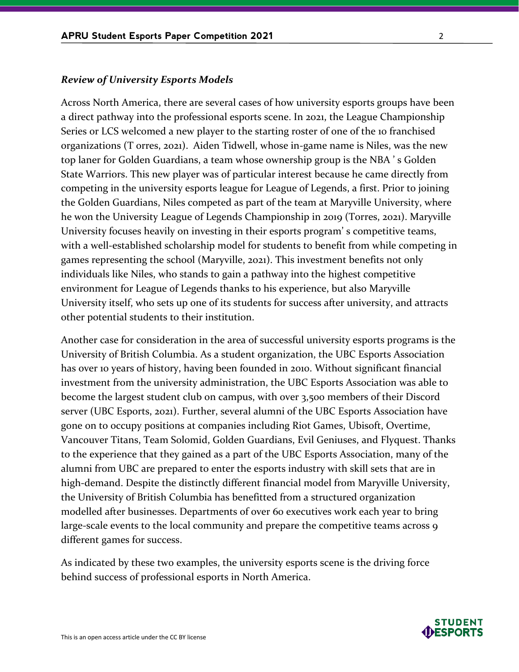#### *Review of University Esports Models*

Across North America, there are several cases of how university esports groups have been a direct pathway into the professional esports scene. In 2021, the League Championship Series or LCS welcomed a new player to the starting roster of one of the 10 franchised organizations (T orres, 2021). Aiden Tidwell, whose in-game name is Niles, was the new top laner for Golden Guardians, a team whose ownership group is the NBA ' s Golden State Warriors. This new player was of particular interest because he came directly from competing in the university esports league for League of Legends, a first. Prior to joining the Golden Guardians, Niles competed as part of the team at Maryville University, where he won the University League of Legends Championship in 2019 (Torres, 2021). Maryville University focuses heavily on investing in their esports program' s competitive teams, with a well-established scholarship model for students to benefit from while competing in games representing the school (Maryville, 2021). This investment benefits not only individuals like Niles, who stands to gain a pathway into the highest competitive environment for League of Legends thanks to his experience, but also Maryville University itself, who sets up one of its students for success after university, and attracts other potential students to their institution.

Another case for consideration in the area of successful university esports programs is the University of British Columbia. As a student organization, the UBC Esports Association has over 10 years of history, having been founded in 2010. Without significant financial investment from the university administration, the UBC Esports Association was able to become the largest student club on campus, with over 3,500 members of their Discord server (UBC Esports, 2021). Further, several alumni of the UBC Esports Association have gone on to occupy positions at companies including Riot Games, Ubisoft, Overtime, Vancouver Titans, Team Solomid, Golden Guardians, Evil Geniuses, and Flyquest. Thanks to the experience that they gained as a part of the UBC Esports Association, many of the alumni from UBC are prepared to enter the esports industry with skill sets that are in high-demand. Despite the distinctly different financial model from Maryville University, the University of British Columbia has benefitted from a structured organization modelled after businesses. Departments of over 60 executives work each year to bring large-scale events to the local community and prepare the competitive teams across 9 different games for success.

As indicated by these two examples, the university esports scene is the driving force behind success of professional esports in North America.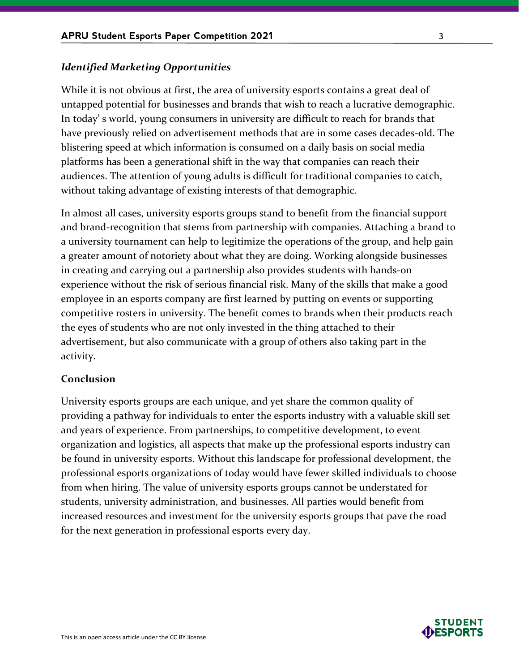#### *Identified Marketing Opportunities*

While it is not obvious at first, the area of university esports contains a great deal of untapped potential for businesses and brands that wish to reach a lucrative demographic. In today' s world, young consumers in university are difficult to reach for brands that have previously relied on advertisement methods that are in some cases decades-old. The blistering speed at which information is consumed on a daily basis on social media platforms has been a generational shift in the way that companies can reach their audiences. The attention of young adults is difficult for traditional companies to catch, without taking advantage of existing interests of that demographic.

In almost all cases, university esports groups stand to benefit from the financial support and brand-recognition that stems from partnership with companies. Attaching a brand to a university tournament can help to legitimize the operations of the group, and help gain a greater amount of notoriety about what they are doing. Working alongside businesses in creating and carrying out a partnership also provides students with hands-on experience without the risk of serious financial risk. Many of the skills that make a good employee in an esports company are first learned by putting on events or supporting competitive rosters in university. The benefit comes to brands when their products reach the eyes of students who are not only invested in the thing attached to their advertisement, but also communicate with a group of others also taking part in the activity.

#### **Conclusion**

University esports groups are each unique, and yet share the common quality of providing a pathway for individuals to enter the esports industry with a valuable skill set and years of experience. From partnerships, to competitive development, to event organization and logistics, all aspects that make up the professional esports industry can be found in university esports. Without this landscape for professional development, the professional esports organizations of today would have fewer skilled individuals to choose from when hiring. The value of university esports groups cannot be understated for students, university administration, and businesses. All parties would benefit from increased resources and investment for the university esports groups that pave the road for the next generation in professional esports every day.